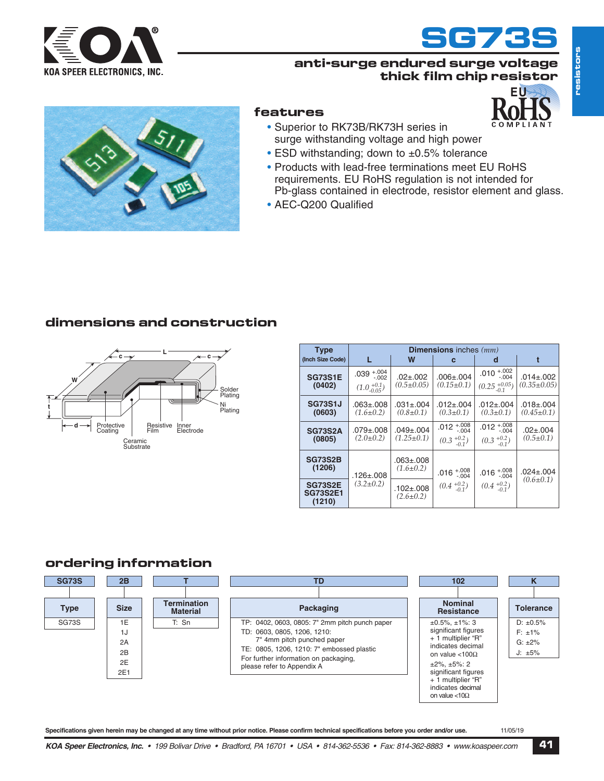



**EU**

#### **anti-surge endured surge voltage thick film chip resistor**



#### **features**

- Superior to RK73B/RK73H series in surge withstanding voltage and high power
- ESD withstanding: down to ±0.5% tolerance
- Products with lead-free terminations meet EU RoHS requirements. EU RoHS regulation is not intended for Pb-glass contained in electrode, resistor element and glass.
- AEC-Q200 Qualified

## **dimensions and construction**



| <b>Type</b>                                 | <b>Dimensions</b> inches (mm)                      |                                     |                                          |                                                        |                                      |  |  |
|---------------------------------------------|----------------------------------------------------|-------------------------------------|------------------------------------------|--------------------------------------------------------|--------------------------------------|--|--|
| (Inch Size Code)                            |                                                    | W                                   | C                                        | d                                                      |                                      |  |  |
| <b>SG73S1E</b><br>(0402)                    | $.039 + .004$<br>$-.002$<br>$(1.0^{+0.1}_{-0.05})$ | $.02 + .002$<br>$(0.5 \pm 0.05)$    | $.006 \pm .004$<br>$(0.15 \pm 0.1)$      | .010 $^{+.002}_{-.004}$<br>$(0.25 \frac{+0.05}{-0.1})$ | $.014 \pm .002$<br>$(0.35 \pm 0.05)$ |  |  |
| <b>SG73S1J</b><br>(0603)                    | $.063 + .008$<br>$(1.6 \pm 0.2)$                   | $.031 \pm .004$<br>$(0.8 \pm 0.1)$  | $.012 \pm .004$<br>$(0.3 \pm 0.1)$       | $.012 \pm .004$<br>$(0.3 \pm 0.1)$                     | $.018 \pm .004$<br>$(0.45 \pm 0.1)$  |  |  |
| <b>SG73S2A</b><br>(0805)                    | $.079 + .008$<br>$(2.0 \pm 0.2)$                   | $.049 \pm .004$<br>$(1.25 \pm 0.1)$ | .012 $^{+.008}_{-.004}$<br>$(0.3 + 0.2)$ | .012 $^{+.008}_{-.004}$<br>$(0.3 + 0.2)$               | $.02 \pm .004$<br>$(0.5 \pm 0.1)$    |  |  |
| <b>SG73S2B</b><br>(1206)                    | .126±.008                                          | .063±.008<br>$(1.6 \pm 0.2)$        | $.016^{+.008}_{-.004}$                   | $.016^{+.008}_{-.004}$<br>$(0.4+0.2-0.1)$              | $.024 \pm .004$                      |  |  |
| <b>SG73S2E</b><br><b>SG73S2E1</b><br>(1210) | $(3.2 \pm 0.2)$                                    | $.102 \pm .008$<br>$(2.6 \pm 0.2)$  | $(0.4+0.2-0.1)$                          |                                                        | $(0.6 \pm 0.1)$                      |  |  |

## **ordering information**



Specifications given herein may be changed at any time without prior notice. Please confirm technical specifications before you order and/or use. 11/05/19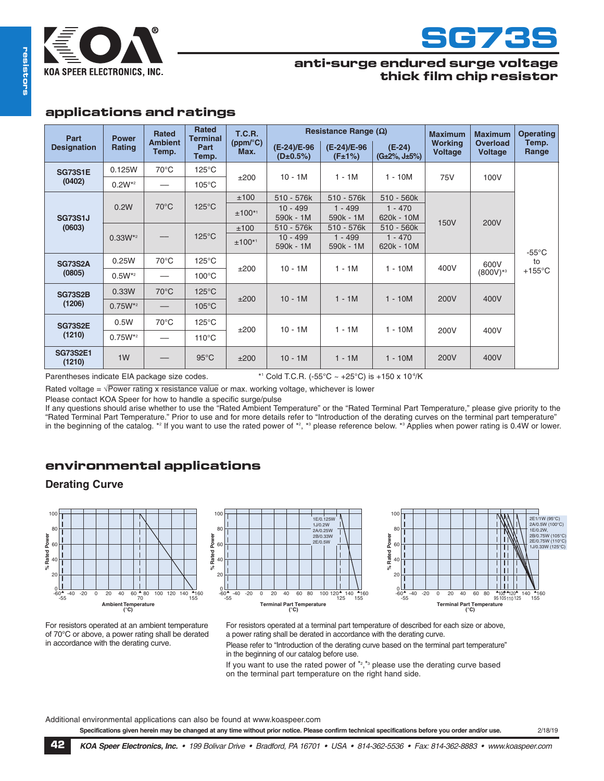



## **anti-surge endured surge voltage thick film chip resistor**

## **applications and ratings**

| Part                      | <b>Power</b>   | <b>Rated</b>            | <b>Rated</b><br><b>Terminal</b><br>Part<br>Temp. | <b>T.C.R.</b><br>(ppm/°C)<br>Max. | Resistance Range $(\Omega)$    |                        |                              | <b>Maximum</b>            | <b>Maximum</b>                    | <b>Operating</b>                          |
|---------------------------|----------------|-------------------------|--------------------------------------------------|-----------------------------------|--------------------------------|------------------------|------------------------------|---------------------------|-----------------------------------|-------------------------------------------|
| <b>Designation</b>        | Rating         | <b>Ambient</b><br>Temp. |                                                  |                                   | (E-24)/E-96<br>$(D \pm 0.5\%)$ | (E-24)/E-96<br>(F±1%)  | $(E-24)$<br>$(G±2\%, J±5\%)$ | <b>Working</b><br>Voltage | <b>Overload</b><br><b>Voltage</b> | Temp.<br>Range                            |
| <b>SG73S1E</b>            | 0.125W         | $70^{\circ}$ C          | $125^{\circ}$ C                                  | ±200                              | $10 - 1M$                      | $1 - 1M$               | $1 - 10M$                    | 75V                       | 100V                              | $-55^{\circ}$ C<br>to<br>$+155^{\circ}$ C |
| (0402)                    | $0.2W^{*2}$    |                         | $105^{\circ}$ C                                  |                                   |                                |                        |                              |                           |                                   |                                           |
| <b>SG73S1J</b>            |                | $70^{\circ}$ C          | $125^{\circ}$ C                                  | ±100                              | 510 - 576k                     | 510 - 576k             | 510 - 560k                   | 150V                      | 200V                              |                                           |
|                           | 0.2W           |                         |                                                  | $±100**$                          | $10 - 499$<br>590k - 1M        | $1 - 499$<br>590k - 1M | $1 - 470$<br>620k - 10M      |                           |                                   |                                           |
| (0603)<br>$0.33W^{*2}$    |                |                         | $125^{\circ}$ C                                  | ±100                              | 510 - 576k                     | 510 - 576k             | 510 - 560k                   |                           |                                   |                                           |
|                           |                |                         |                                                  | $±100^{*1}$                       | $10 - 499$<br>590k - 1M        | $1 - 499$<br>590k - 1M | $1 - 470$<br>620k - 10M      |                           |                                   |                                           |
| <b>SG73S2A</b>            | 0.25W          | $70^{\circ}$ C          | $125^{\circ}$ C                                  | ±200                              | $10 - 1M$                      | $1 - 1M$               | $1 - 10M$                    | 400V                      | 600V<br>$(800V)$ <sup>*3</sup>    |                                           |
| (0805)                    | $0.5W^{*2}$    |                         | $100^{\circ}$ C                                  |                                   |                                |                        |                              |                           |                                   |                                           |
| <b>SG73S2B</b>            | 0.33W          | $70^{\circ}$ C          | $125^{\circ}$ C                                  | ±200                              | $10 - 1M$                      | $1 - 1M$               | $1 - 10M$                    | 200V                      | 400V                              |                                           |
| (1206)                    | $0.75W^{*2}$   |                         | $105^{\circ}$ C                                  |                                   |                                |                        |                              |                           |                                   |                                           |
| <b>SG73S2E</b>            | 0.5W           | $70^{\circ}$ C          | $125^{\circ}$ C                                  | ±200                              | $10 - 1M$                      | $1 - 1M$               | $1 - 10M$                    | 200V                      | 400V                              |                                           |
| (1210)                    | $0.75W^{*2}$   |                         | $110^{\circ}$ C                                  |                                   |                                |                        |                              |                           |                                   |                                           |
| <b>SG73S2E1</b><br>(1210) | 1 <sub>W</sub> |                         | $95^{\circ}$ C                                   | ±200                              | $10 - 1M$                      | $1 - 1M$               | $1 - 10M$                    | 200V                      | 400V                              |                                           |

Parentheses indicate EIA package size codes.

\*1 Cold T.C.R. (-55°C ~ +25°C) is +150 x 10°/K

Rated voltage =  $\sqrt{Power}$  rating x resistance value or max. working voltage, whichever is lower

Please contact KOA Speer for how to handle a specific surge/pulse

If any questions should arise whether to use the "Rated Ambient Temperature" or the "Rated Terminal Part Temperature," please give priority to the "Rated Terminal Part Temperature." Prior to use and for more details refer to "Introduction of the derating curves on the terminal part temperature" in the beginning of the catalog. \*<sup>2</sup> If you want to use the rated power of \*<sup>2</sup>, \*<sup>3</sup> please reference below. \*<sup>3</sup> Applies when power rating is 0.4W or lower.

## **environmental applications**

## **Derating Curve**







For resistors operated at an ambient temperature of 70°C or above, a power rating shall be derated in accordance with the derating curve.

For resistors operated at a terminal part temperature of described for each size or above, a power rating shall be derated in accordance with the derating curve.

Please refer to "Introduction of the derating curve based on the terminal part temperature" in the beginning of our catalog before use.

If you want to use the rated power of  $*_{2,*}^*$  please use the derating curve based on the terminal part temperature on the right hand side.

Additional environmental applications can also be found at www.koaspeer.com

Specifications given herein may be changed at any time without prior notice. Please confirm technical specifications before you order and/or use. 2/18/19